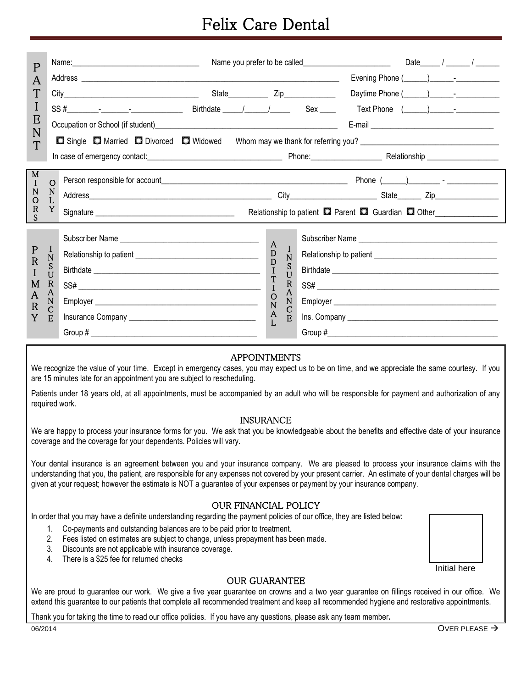## Felix Care Dental

| $\mathsf{P}$                |                                                       |                                                                                                                                                                                                                                                                                                                                                                                                                          |                           |                                     |  |                                                                                                                                                                                                                               |                                                                          |  |  |  |  |
|-----------------------------|-------------------------------------------------------|--------------------------------------------------------------------------------------------------------------------------------------------------------------------------------------------------------------------------------------------------------------------------------------------------------------------------------------------------------------------------------------------------------------------------|---------------------------|-------------------------------------|--|-------------------------------------------------------------------------------------------------------------------------------------------------------------------------------------------------------------------------------|--------------------------------------------------------------------------|--|--|--|--|
| A<br>T<br>I                 |                                                       |                                                                                                                                                                                                                                                                                                                                                                                                                          |                           |                                     |  |                                                                                                                                                                                                                               |                                                                          |  |  |  |  |
|                             |                                                       |                                                                                                                                                                                                                                                                                                                                                                                                                          |                           |                                     |  |                                                                                                                                                                                                                               |                                                                          |  |  |  |  |
|                             |                                                       |                                                                                                                                                                                                                                                                                                                                                                                                                          |                           |                                     |  |                                                                                                                                                                                                                               |                                                                          |  |  |  |  |
| E                           |                                                       |                                                                                                                                                                                                                                                                                                                                                                                                                          |                           |                                     |  | E-mail 2008 2009 2010 2021 2022 2023 2024 2022 2023 2024 2022 2023 2024 2022 2023 2024 2022 2023 2024 2025 2026 2027 2028 2029 2021 2022 2023 2024 2025 2027 2028 2027 2028 2027 2028 2027 2028 2027 2028 2027 2028 2027 2028 |                                                                          |  |  |  |  |
| N                           |                                                       | Single <b>D</b> Married <b>D</b> Divorced <b>D</b> Widowed                                                                                                                                                                                                                                                                                                                                                               |                           |                                     |  |                                                                                                                                                                                                                               |                                                                          |  |  |  |  |
| T                           |                                                       | In case of emergency contact: <u>contact:</u> contact: contact: contact: contact: contact: contact: contact: contact: contact: contact: contact: contact: contact: contact: contact: contact: contact: contact: contact: contact: c                                                                                                                                                                                      |                           |                                     |  |                                                                                                                                                                                                                               |                                                                          |  |  |  |  |
| M<br>T                      | $\circ$                                               |                                                                                                                                                                                                                                                                                                                                                                                                                          |                           |                                     |  |                                                                                                                                                                                                                               |                                                                          |  |  |  |  |
| N<br>$\overline{O}$         | N<br>L                                                |                                                                                                                                                                                                                                                                                                                                                                                                                          |                           |                                     |  |                                                                                                                                                                                                                               |                                                                          |  |  |  |  |
| R                           | Y                                                     |                                                                                                                                                                                                                                                                                                                                                                                                                          |                           |                                     |  |                                                                                                                                                                                                                               | Relationship to patient <b>Q</b> Parent <b>Q</b> Guardian <b>Q</b> Other |  |  |  |  |
| S                           |                                                       |                                                                                                                                                                                                                                                                                                                                                                                                                          |                           |                                     |  |                                                                                                                                                                                                                               |                                                                          |  |  |  |  |
|                             | $\mathbf{I}$<br>$\mathbf N$<br>S<br>U<br>$\mathbb{R}$ | Subscriber Name                                                                                                                                                                                                                                                                                                                                                                                                          | $\mathbf{A}$              |                                     |  |                                                                                                                                                                                                                               | Subscriber Name                                                          |  |  |  |  |
| $\mathbf P$<br>$\mathbb{R}$ |                                                       |                                                                                                                                                                                                                                                                                                                                                                                                                          | D<br>D                    | $\bf{l}$<br>$\overline{\mathsf{N}}$ |  |                                                                                                                                                                                                                               |                                                                          |  |  |  |  |
|                             |                                                       |                                                                                                                                                                                                                                                                                                                                                                                                                          | T                         | S<br>$\tilde{U}$                    |  |                                                                                                                                                                                                                               |                                                                          |  |  |  |  |
| M                           |                                                       |                                                                                                                                                                                                                                                                                                                                                                                                                          | T<br>$\mathbf{I}$         | R<br>$\mathsf{A}$                   |  |                                                                                                                                                                                                                               |                                                                          |  |  |  |  |
| A<br>$\mathsf{R}$           | A<br>$\mathbf N$                                      |                                                                                                                                                                                                                                                                                                                                                                                                                          | $\circ$<br>$\overline{N}$ | N                                   |  |                                                                                                                                                                                                                               |                                                                          |  |  |  |  |
| Y                           | C<br>E                                                |                                                                                                                                                                                                                                                                                                                                                                                                                          | $_{L}^{A}$                | С<br>E                              |  |                                                                                                                                                                                                                               |                                                                          |  |  |  |  |
|                             |                                                       | Group # $\frac{1}{2}$ $\frac{1}{2}$ $\frac{1}{2}$ $\frac{1}{2}$ $\frac{1}{2}$ $\frac{1}{2}$ $\frac{1}{2}$ $\frac{1}{2}$ $\frac{1}{2}$ $\frac{1}{2}$ $\frac{1}{2}$ $\frac{1}{2}$ $\frac{1}{2}$ $\frac{1}{2}$ $\frac{1}{2}$ $\frac{1}{2}$ $\frac{1}{2}$ $\frac{1}{2}$ $\frac{1}{2}$ $\frac{1}{2}$ $\frac{1}{2}$ $\frac$                                                                                                    |                           |                                     |  |                                                                                                                                                                                                                               |                                                                          |  |  |  |  |
|                             |                                                       | <b>APPOINTMENTS</b><br>We recognize the value of your time. Except in emergency cases, you may expect us to be on time, and we appreciate the same courtesy. If you<br>are 15 minutes late for an appointment you are subject to rescheduling.<br>Patients under 18 years old, at all appointments, must be accompanied by an adult who will be responsible for payment and authorization of any<br>required work.       |                           |                                     |  |                                                                                                                                                                                                                               |                                                                          |  |  |  |  |
|                             |                                                       | <b>INSURANCE</b>                                                                                                                                                                                                                                                                                                                                                                                                         |                           |                                     |  |                                                                                                                                                                                                                               |                                                                          |  |  |  |  |
|                             |                                                       | We are happy to process your insurance forms for you. We ask that you be knowledgeable about the benefits and effective date of your insurance<br>coverage and the coverage for your dependents. Policies will vary.                                                                                                                                                                                                     |                           |                                     |  |                                                                                                                                                                                                                               |                                                                          |  |  |  |  |
|                             |                                                       | Your dental insurance is an agreement between you and your insurance company. We are pleased to process your insurance claims with the<br>understanding that you, the patient, are responsible for any expenses not covered by your present carrier. An estimate of your dental charges will be<br>given at your request; however the estimate is NOT a guarantee of your expenses or payment by your insurance company. |                           |                                     |  |                                                                                                                                                                                                                               |                                                                          |  |  |  |  |
|                             |                                                       | <b>OUR FINANCIAL POLICY</b>                                                                                                                                                                                                                                                                                                                                                                                              |                           |                                     |  |                                                                                                                                                                                                                               |                                                                          |  |  |  |  |
|                             |                                                       | In order that you may have a definite understanding regarding the payment policies of our office, they are listed below:                                                                                                                                                                                                                                                                                                 |                           |                                     |  |                                                                                                                                                                                                                               |                                                                          |  |  |  |  |
|                             | 1.<br>2.                                              | Co-payments and outstanding balances are to be paid prior to treatment.<br>Fees listed on estimates are subject to change, unless prepayment has been made.                                                                                                                                                                                                                                                              |                           |                                     |  |                                                                                                                                                                                                                               |                                                                          |  |  |  |  |
|                             | 3.                                                    | Discounts are not applicable with insurance coverage.                                                                                                                                                                                                                                                                                                                                                                    |                           |                                     |  |                                                                                                                                                                                                                               |                                                                          |  |  |  |  |
|                             | 4.                                                    | There is a \$25 fee for returned checks                                                                                                                                                                                                                                                                                                                                                                                  |                           |                                     |  |                                                                                                                                                                                                                               | Initial here                                                             |  |  |  |  |
|                             |                                                       | <b>OUR GUARANTEE</b>                                                                                                                                                                                                                                                                                                                                                                                                     |                           |                                     |  |                                                                                                                                                                                                                               |                                                                          |  |  |  |  |
|                             |                                                       | We are proud to guarantee our work. We give a five year guarantee on crowns and a two year guarantee on fillings received in our office. We<br>extend this guarantee to our patients that complete all recommended treatment and keep all recommended hygiene and restorative appointments.                                                                                                                              |                           |                                     |  |                                                                                                                                                                                                                               |                                                                          |  |  |  |  |

Thank you for taking the time to read our office policies. If you have any questions, please ask any team member**.**